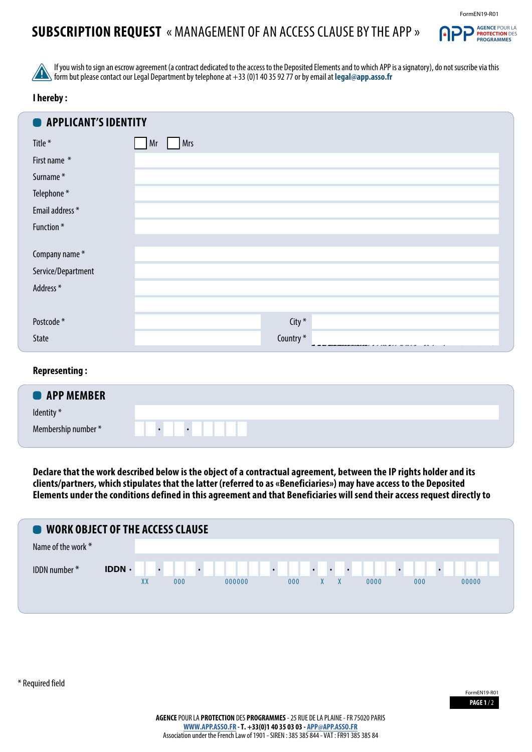# **SUBSCRIPTION REQUEST** « MANAGEMENT OF AN ACCESS CLAUSE BY THE APP »



If you wish to sign an escrow agreement (a contract dedicated to the access to the Deposited Elements and to which APP is a signatory), do not suscribe via this form but please contact our Legal Department by telephone at +33 (0)1 40 35 92 77 or by email at **legal@app.asso.fr**

### **I hereby :**

| ∍<br>APPLICANT'S IDENTITY |                  |  |
|---------------------------|------------------|--|
| Title *                   | <b>Mrs</b><br>Mr |  |
| First name *              |                  |  |
| Surname*                  |                  |  |
| Telephone*                |                  |  |
| Email address *           |                  |  |
| Function*                 |                  |  |
|                           |                  |  |
| Company name*             |                  |  |
| Service/Department        |                  |  |
| Address*                  |                  |  |
|                           |                  |  |
| Postcode*                 | City *           |  |
| State                     | Country*         |  |

#### **Representing :**

| <b>O</b> APP MEMBER |                        |
|---------------------|------------------------|
| Identity *          |                        |
| Membership number * | $\bullet$<br>$\bullet$ |

**Declare that the work described below is the object of a contractual agreement, between the IP rights holder and its clients/partners, which stipulates that the latter (referred to as «Beneficiaries») may have access to the Deposited Elements under the conditions defined in this agreement and that Beneficiaries will send their access request directly to** 



\* Required field